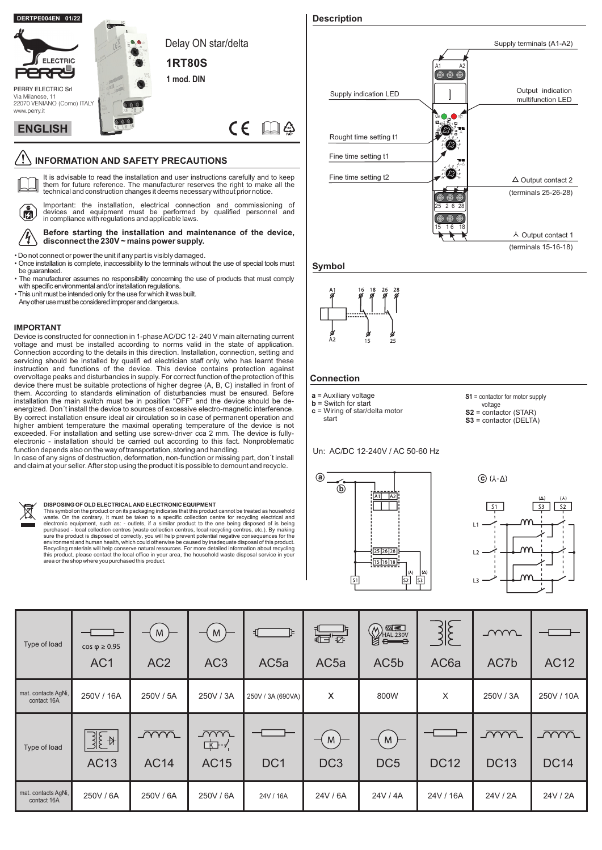

# **INFORMATION AND SAFETY PRECAUTIONS**

 $\Box$ It is advisable to read the installation and user instructions carefully and to keep them for future reference. The manufacturer reserves the right to make all the technical and construction changes it deems necessary without prior notice.

 $\tilde{\mathbf{a}}$  $\eta'$ 

Important: the installation, electrical connection and commissioning of devices and equipment must be performed by qualified personnel and in compliance with regulations and applicable laws.

#### **Before starting the installation and maintenance of the device, disconnect the 230V ~ mains power supply.**

• Do not connect or power the unit if any part is visibly damaged.

- Once installation is complete, inaccessibility to the terminals without the use of special tools must be guaranteed.
- The manufacturer assumes no responsibility concerning the use of products that must comply with specific environmental and/or installation regulations.
- This unit must be intended only for the use for which it was built.
- Any other use must be considered improper and dangerous.

#### **IMPORTANT**

Device is constructed for connection in 1-phase AC/DC 12- 240 V main alternating current voltage and must be installed according to norms valid in the state of application. Connection according to the details in this direction. Installation, connection, setting and servicing should be installed by qualifi ed electrician staff only, who has learnt these instruction and functions of the device. This device contains protection against overvoltage peaks and disturbancies in supply. For correct function of the protection of this device there must be suitable protections of higher degree (A, B, C) installed in front of them. According to standards elimination of disturbancies must be ensured. Before installation the main switch must be in position "OFF" and the device should be deenergized. Don't install the device to sources of excessive electro-magnetic interference. By correct installation ensure ideal air circulation so in case of permanent operation and higher ambient temperature the maximal operating temperature of the device is not exceeded. For installation and setting use screw-driver cca 2 mm. The device is fullyelectronic - installation should be carried out according to this fact. Nonproblematic function depends also on the way of transportation, storing and handling.

In case of any signs of destruction, deformation, non-function or missing part, don´t install and claim at your seller.After stop using the product it is possible to demount and recycle.



#### **DISPOSING OF OLD ELECTRICAL AND ELECTRONIC EQUIPMENT**

This symbol on the product or on its packaging indicates that this product cannot be treated as household<br>waste. On the contrary, it must be taken to a specific collection centre for recycling electrical and<br>electronic equ Recycling materials will help conserve natural resources. For more detailed information about recycling<br>this product, please contact the local office in your area, the household waste disposal service in your<br>area or the s



**Symbol**



## **Connection**

start

- **a** = Auxiliary voltage **b** = Switch for start
- **c** = Wiring of star/delta motor

**S1** = contactor for motor supply

- $S2 = \text{contactor (STAR)}$
- **S3** = contactor (DELTA)

Un: AC/DC 12-240V / AC 50-60 Hz





| Type of load                       | $cos \phi \ge 0.95$<br>AC <sub>1</sub> | M<br>AC <sub>2</sub>      | M<br>—<br>AC <sub>3</sub>       | Ъ<br>ᆌ.<br>AC <sub>5a</sub> | $\begin{array}{c}\n\overline{1\overline{12}}\n\end{array}$<br>AC <sub>5a</sub> | $\bigotimes_{\text{HAL.230V}}\overline{\text{M}}$<br>AC <sub>5</sub> b | AC <sub>6</sub> a | $\sim$<br>AC7b            | <b>AC12</b>               |
|------------------------------------|----------------------------------------|---------------------------|---------------------------------|-----------------------------|--------------------------------------------------------------------------------|------------------------------------------------------------------------|-------------------|---------------------------|---------------------------|
| mat. contacts AgNi,<br>contact 16A | 250V / 16A                             | 250V / 5A                 | 250V / 3A                       | 250V / 3A (690VA)           | x                                                                              | 800W                                                                   | X                 | 250V / 3A                 | 250V / 10A                |
| Type of load                       | $\sqrt{1-\frac{1}{2}}$<br><b>AC13</b>  | <u>_WW</u><br><b>AC14</b> | <u>_ww</u><br>中子<br><b>AC15</b> | DC <sub>1</sub>             | M<br>DC <sub>3</sub>                                                           | M<br>DC <sub>5</sub>                                                   | <b>DC12</b>       | <u>ww.</u><br><b>DC13</b> | <u>_ww</u><br><b>DC14</b> |
| mat. contacts AgNi,<br>contact 16A | 250V / 6A                              | 250V / 6A                 | 250V / 6A                       | 24V / 16A                   | 24V / 6A                                                                       | 24V / 4A                                                               | 24V / 16A         | 24V / 2A                  | 24V / 2A                  |